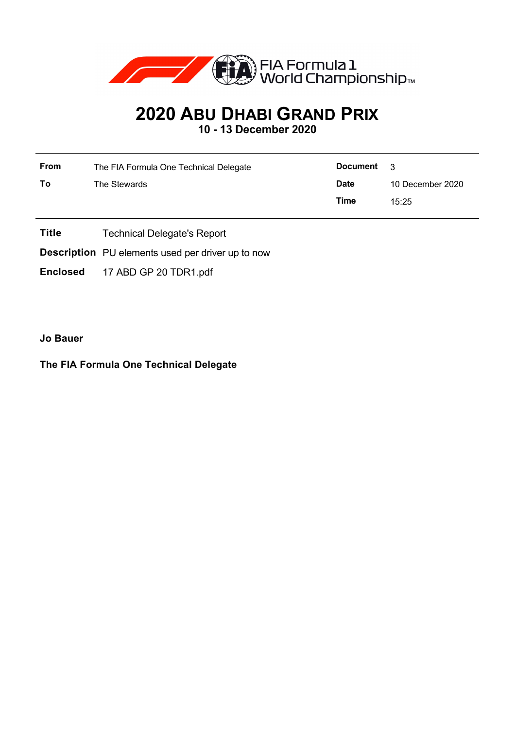

## **2020 ABU DHABI GRAND PRIX**

**10 - 13 December 2020**

| From | The FIA Formula One Technical Delegate | <b>Document</b> | $\mathcal{R}$    |  |
|------|----------------------------------------|-----------------|------------------|--|
| Τo   | The Stewards                           | <b>Date</b>     | 10 December 2020 |  |
|      |                                        | Time            | 15:25            |  |

- **Title** Technical Delegate's Report
- **Description** PU elements used per driver up to now
- **Enclosed** 17 ABD GP 20 TDR1.pdf

**Jo Bauer**

## **The FIA Formula One Technical Delegate**